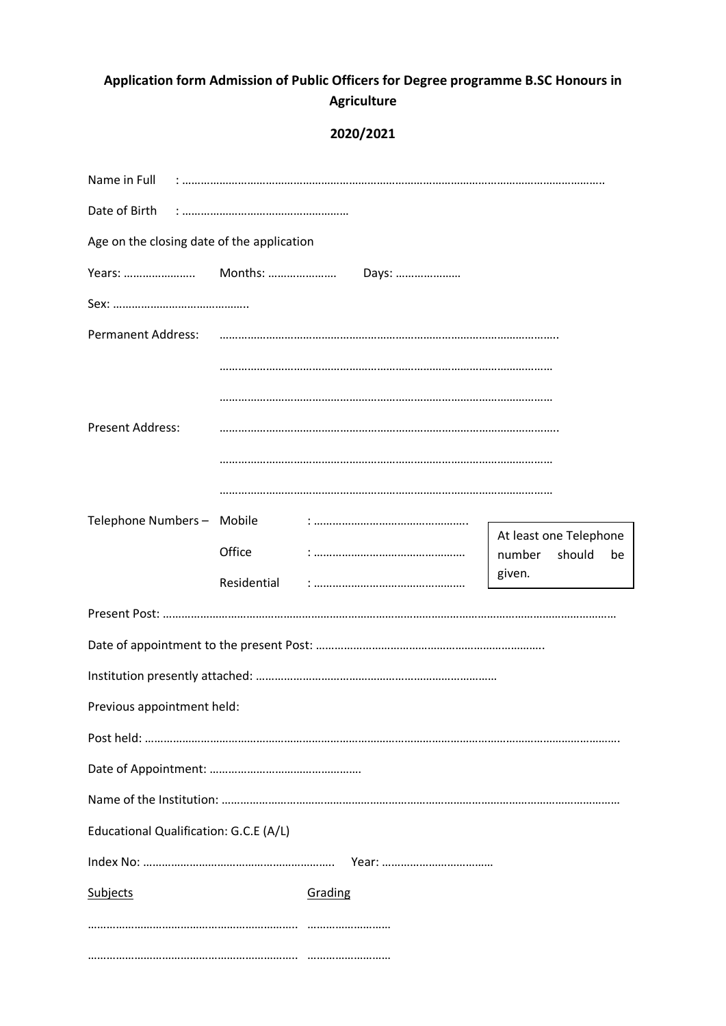## **Application form Admission of Public Officers for Degree programme B.SC Honours in Agriculture**

## **2020/2021**

| Name in Full                               |             |         |  |                                  |        |    |
|--------------------------------------------|-------------|---------|--|----------------------------------|--------|----|
|                                            |             |         |  |                                  |        |    |
| Age on the closing date of the application |             |         |  |                                  |        |    |
| Years:  Months:  Days:                     |             |         |  |                                  |        |    |
|                                            |             |         |  |                                  |        |    |
| <b>Permanent Address:</b>                  |             |         |  |                                  |        |    |
|                                            |             |         |  |                                  |        |    |
|                                            |             |         |  |                                  |        |    |
| <b>Present Address:</b>                    |             |         |  |                                  |        |    |
|                                            |             |         |  |                                  |        |    |
|                                            |             |         |  |                                  |        |    |
| Telephone Numbers - Mobile                 |             |         |  |                                  |        |    |
|                                            | Office      |         |  | At least one Telephone<br>number | should | be |
|                                            | Residential |         |  | given.                           |        |    |
|                                            |             |         |  |                                  |        |    |
|                                            |             |         |  |                                  |        |    |
|                                            |             |         |  |                                  |        |    |
| Previous appointment held:                 |             |         |  |                                  |        |    |
|                                            |             |         |  |                                  |        |    |
|                                            |             |         |  |                                  |        |    |
|                                            |             |         |  |                                  |        |    |
| Educational Qualification: G.C.E (A/L)     |             |         |  |                                  |        |    |
|                                            |             |         |  |                                  |        |    |
| <b>Subjects</b>                            |             | Grading |  |                                  |        |    |
|                                            |             |         |  |                                  |        |    |
|                                            |             |         |  |                                  |        |    |